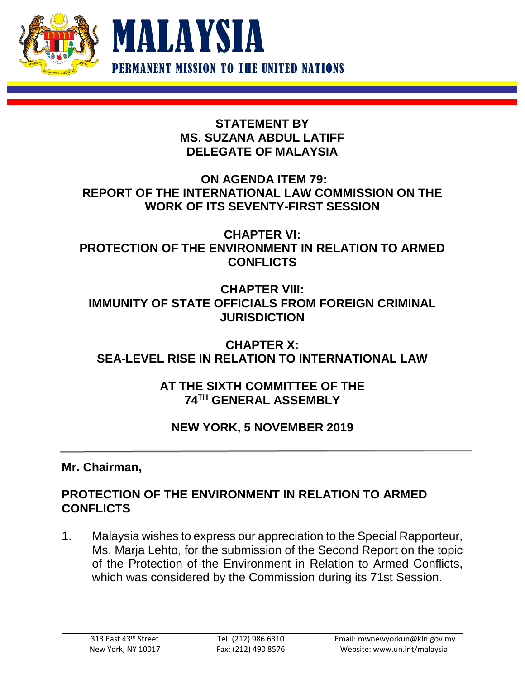



## **STATEMENT BY MS. SUZANA ABDUL LATIFF DELEGATE OF MALAYSIA**

## **ON AGENDA ITEM 79: REPORT OF THE INTERNATIONAL LAW COMMISSION ON THE WORK OF ITS SEVENTY-FIRST SESSION**

**CHAPTER VI: PROTECTION OF THE ENVIRONMENT IN RELATION TO ARMED CONFLICTS**

**CHAPTER VIII: IMMUNITY OF STATE OFFICIALS FROM FOREIGN CRIMINAL JURISDICTION**

**CHAPTER X: SEA-LEVEL RISE IN RELATION TO INTERNATIONAL LAW**

> **AT THE SIXTH COMMITTEE OF THE 74TH GENERAL ASSEMBLY**

# **NEW YORK, 5 NOVEMBER 2019**

**Mr. Chairman,**

## **PROTECTION OF THE ENVIRONMENT IN RELATION TO ARMED CONFLICTS**

1. Malaysia wishes to express our appreciation to the Special Rapporteur, Ms. Marja Lehto, for the submission of the Second Report on the topic of the Protection of the Environment in Relation to Armed Conflicts, which was considered by the Commission during its 71st Session.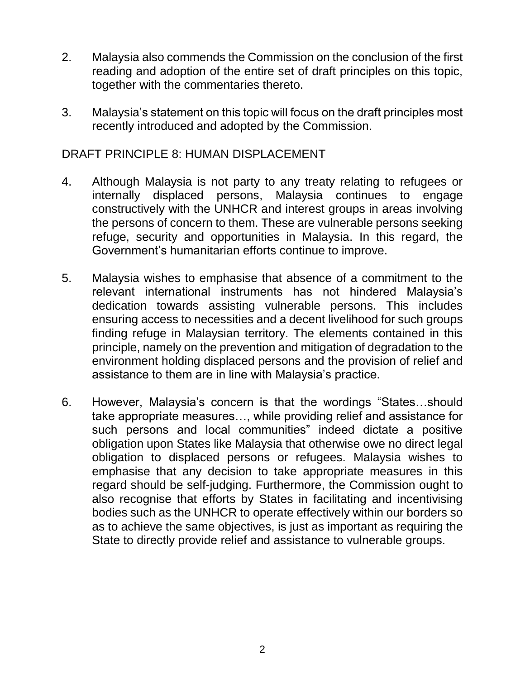- 2. Malaysia also commends the Commission on the conclusion of the first reading and adoption of the entire set of draft principles on this topic, together with the commentaries thereto.
- 3. Malaysia's statement on this topic will focus on the draft principles most recently introduced and adopted by the Commission.

#### DRAFT PRINCIPLE 8: HUMAN DISPLACEMENT

- 4. Although Malaysia is not party to any treaty relating to refugees or internally displaced persons, Malaysia continues to engage constructively with the UNHCR and interest groups in areas involving the persons of concern to them. These are vulnerable persons seeking refuge, security and opportunities in Malaysia. In this regard, the Government's humanitarian efforts continue to improve.
- 5. Malaysia wishes to emphasise that absence of a commitment to the relevant international instruments has not hindered Malaysia's dedication towards assisting vulnerable persons. This includes ensuring access to necessities and a decent livelihood for such groups finding refuge in Malaysian territory. The elements contained in this principle, namely on the prevention and mitigation of degradation to the environment holding displaced persons and the provision of relief and assistance to them are in line with Malaysia's practice.
- 6. However, Malaysia's concern is that the wordings "States…should take appropriate measures…, while providing relief and assistance for such persons and local communities" indeed dictate a positive obligation upon States like Malaysia that otherwise owe no direct legal obligation to displaced persons or refugees. Malaysia wishes to emphasise that any decision to take appropriate measures in this regard should be self-judging. Furthermore, the Commission ought to also recognise that efforts by States in facilitating and incentivising bodies such as the UNHCR to operate effectively within our borders so as to achieve the same objectives, is just as important as requiring the State to directly provide relief and assistance to vulnerable groups.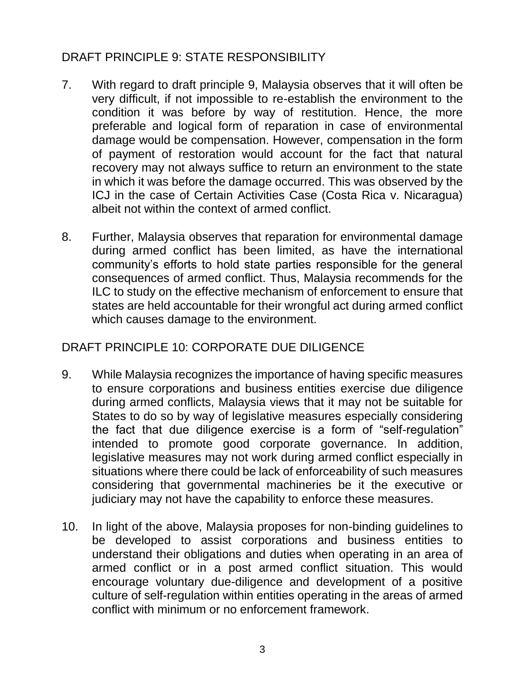# DRAFT PRINCIPLE 9: STATE RESPONSIBILITY

- 7. With regard to draft principle 9, Malaysia observes that it will often be very difficult, if not impossible to re-establish the environment to the condition it was before by way of restitution. Hence, the more preferable and logical form of reparation in case of environmental damage would be compensation. However, compensation in the form of payment of restoration would account for the fact that natural recovery may not always suffice to return an environment to the state in which it was before the damage occurred. This was observed by the ICJ in the case of Certain Activities Case (Costa Rica v. Nicaragua) albeit not within the context of armed conflict.
- 8. Further, Malaysia observes that reparation for environmental damage during armed conflict has been limited, as have the international community's efforts to hold state parties responsible for the general consequences of armed conflict. Thus, Malaysia recommends for the ILC to study on the effective mechanism of enforcement to ensure that states are held accountable for their wrongful act during armed conflict which causes damage to the environment.

# DRAFT PRINCIPLE 10: CORPORATE DUE DILIGENCE

- 9. While Malaysia recognizes the importance of having specific measures to ensure corporations and business entities exercise due diligence during armed conflicts, Malaysia views that it may not be suitable for States to do so by way of legislative measures especially considering the fact that due diligence exercise is a form of "self-regulation" intended to promote good corporate governance. In addition, legislative measures may not work during armed conflict especially in situations where there could be lack of enforceability of such measures considering that governmental machineries be it the executive or judiciary may not have the capability to enforce these measures.
- 10. In light of the above, Malaysia proposes for non-binding guidelines to be developed to assist corporations and business entities to understand their obligations and duties when operating in an area of armed conflict or in a post armed conflict situation. This would encourage voluntary due-diligence and development of a positive culture of self-regulation within entities operating in the areas of armed conflict with minimum or no enforcement framework.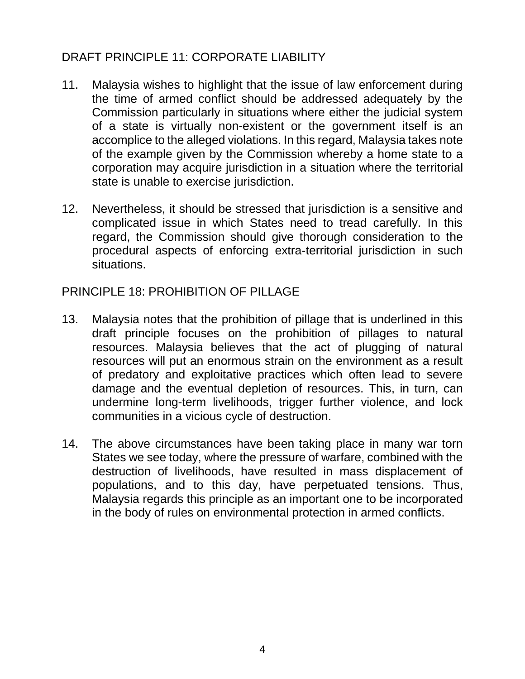# DRAFT PRINCIPLE 11: CORPORATE LIABILITY

- 11. Malaysia wishes to highlight that the issue of law enforcement during the time of armed conflict should be addressed adequately by the Commission particularly in situations where either the judicial system of a state is virtually non-existent or the government itself is an accomplice to the alleged violations. In this regard, Malaysia takes note of the example given by the Commission whereby a home state to a corporation may acquire jurisdiction in a situation where the territorial state is unable to exercise jurisdiction.
- 12. Nevertheless, it should be stressed that jurisdiction is a sensitive and complicated issue in which States need to tread carefully. In this regard, the Commission should give thorough consideration to the procedural aspects of enforcing extra-territorial jurisdiction in such situations.

## PRINCIPLE 18: PROHIBITION OF PILLAGE

- 13. Malaysia notes that the prohibition of pillage that is underlined in this draft principle focuses on the prohibition of pillages to natural resources. Malaysia believes that the act of plugging of natural resources will put an enormous strain on the environment as a result of predatory and exploitative practices which often lead to severe damage and the eventual depletion of resources. This, in turn, can undermine long-term livelihoods, trigger further violence, and lock communities in a vicious cycle of destruction.
- 14. The above circumstances have been taking place in many war torn States we see today, where the pressure of warfare, combined with the destruction of livelihoods, have resulted in mass displacement of populations, and to this day, have perpetuated tensions. Thus, Malaysia regards this principle as an important one to be incorporated in the body of rules on environmental protection in armed conflicts.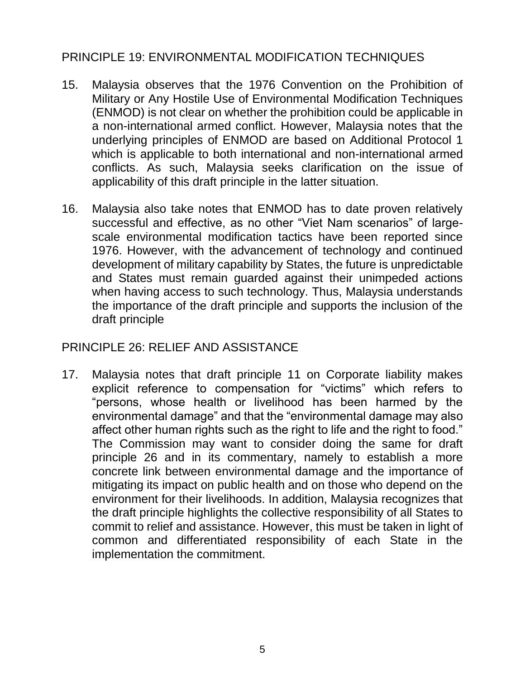# PRINCIPLE 19: ENVIRONMENTAL MODIFICATION TECHNIQUES

- 15. Malaysia observes that the 1976 Convention on the Prohibition of Military or Any Hostile Use of Environmental Modification Techniques (ENMOD) is not clear on whether the prohibition could be applicable in a non-international armed conflict. However, Malaysia notes that the underlying principles of ENMOD are based on Additional Protocol 1 which is applicable to both international and non-international armed conflicts. As such, Malaysia seeks clarification on the issue of applicability of this draft principle in the latter situation.
- 16. Malaysia also take notes that ENMOD has to date proven relatively successful and effective, as no other "Viet Nam scenarios" of largescale environmental modification tactics have been reported since 1976. However, with the advancement of technology and continued development of military capability by States, the future is unpredictable and States must remain guarded against their unimpeded actions when having access to such technology. Thus, Malaysia understands the importance of the draft principle and supports the inclusion of the draft principle

#### PRINCIPLE 26: RELIEF AND ASSISTANCE

17. Malaysia notes that draft principle 11 on Corporate liability makes explicit reference to compensation for "victims" which refers to "persons, whose health or livelihood has been harmed by the environmental damage" and that the "environmental damage may also affect other human rights such as the right to life and the right to food." The Commission may want to consider doing the same for draft principle 26 and in its commentary, namely to establish a more concrete link between environmental damage and the importance of mitigating its impact on public health and on those who depend on the environment for their livelihoods. In addition, Malaysia recognizes that the draft principle highlights the collective responsibility of all States to commit to relief and assistance. However, this must be taken in light of common and differentiated responsibility of each State in the implementation the commitment.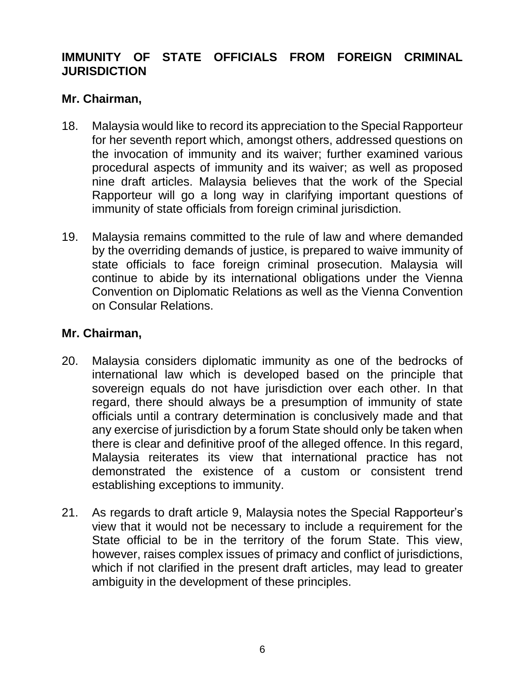# **IMMUNITY OF STATE OFFICIALS FROM FOREIGN CRIMINAL JURISDICTION**

### **Mr. Chairman,**

- 18. Malaysia would like to record its appreciation to the Special Rapporteur for her seventh report which, amongst others, addressed questions on the invocation of immunity and its waiver; further examined various procedural aspects of immunity and its waiver; as well as proposed nine draft articles. Malaysia believes that the work of the Special Rapporteur will go a long way in clarifying important questions of immunity of state officials from foreign criminal jurisdiction.
- 19. Malaysia remains committed to the rule of law and where demanded by the overriding demands of justice, is prepared to waive immunity of state officials to face foreign criminal prosecution. Malaysia will continue to abide by its international obligations under the Vienna Convention on Diplomatic Relations as well as the Vienna Convention on Consular Relations.

### **Mr. Chairman,**

- 20. Malaysia considers diplomatic immunity as one of the bedrocks of international law which is developed based on the principle that sovereign equals do not have jurisdiction over each other. In that regard, there should always be a presumption of immunity of state officials until a contrary determination is conclusively made and that any exercise of jurisdiction by a forum State should only be taken when there is clear and definitive proof of the alleged offence. In this regard, Malaysia reiterates its view that international practice has not demonstrated the existence of a custom or consistent trend establishing exceptions to immunity.
- 21. As regards to draft article 9, Malaysia notes the Special Rapporteur's view that it would not be necessary to include a requirement for the State official to be in the territory of the forum State. This view, however, raises complex issues of primacy and conflict of jurisdictions, which if not clarified in the present draft articles, may lead to greater ambiguity in the development of these principles.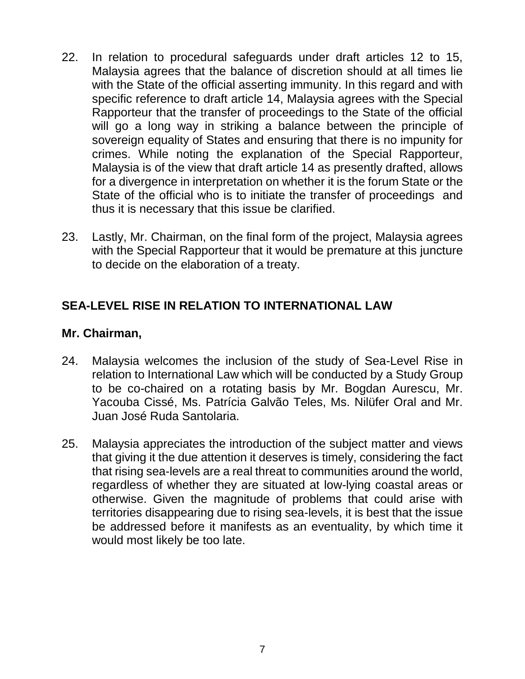- 22. In relation to procedural safeguards under draft articles 12 to 15, Malaysia agrees that the balance of discretion should at all times lie with the State of the official asserting immunity. In this regard and with specific reference to draft article 14, Malaysia agrees with the Special Rapporteur that the transfer of proceedings to the State of the official will go a long way in striking a balance between the principle of sovereign equality of States and ensuring that there is no impunity for crimes. While noting the explanation of the Special Rapporteur, Malaysia is of the view that draft article 14 as presently drafted, allows for a divergence in interpretation on whether it is the forum State or the State of the official who is to initiate the transfer of proceedings and thus it is necessary that this issue be clarified.
- 23. Lastly, Mr. Chairman, on the final form of the project, Malaysia agrees with the Special Rapporteur that it would be premature at this juncture to decide on the elaboration of a treaty.

# **SEA-LEVEL RISE IN RELATION TO INTERNATIONAL LAW**

#### **Mr. Chairman,**

- 24. Malaysia welcomes the inclusion of the study of Sea-Level Rise in relation to International Law which will be conducted by a Study Group to be co-chaired on a rotating basis by Mr. Bogdan Aurescu, Mr. Yacouba Cissé, Ms. Patrícia Galvão Teles, Ms. Nilüfer Oral and Mr. Juan José Ruda Santolaria.
- 25. Malaysia appreciates the introduction of the subject matter and views that giving it the due attention it deserves is timely, considering the fact that rising sea-levels are a real threat to communities around the world, regardless of whether they are situated at low-lying coastal areas or otherwise. Given the magnitude of problems that could arise with territories disappearing due to rising sea-levels, it is best that the issue be addressed before it manifests as an eventuality, by which time it would most likely be too late.